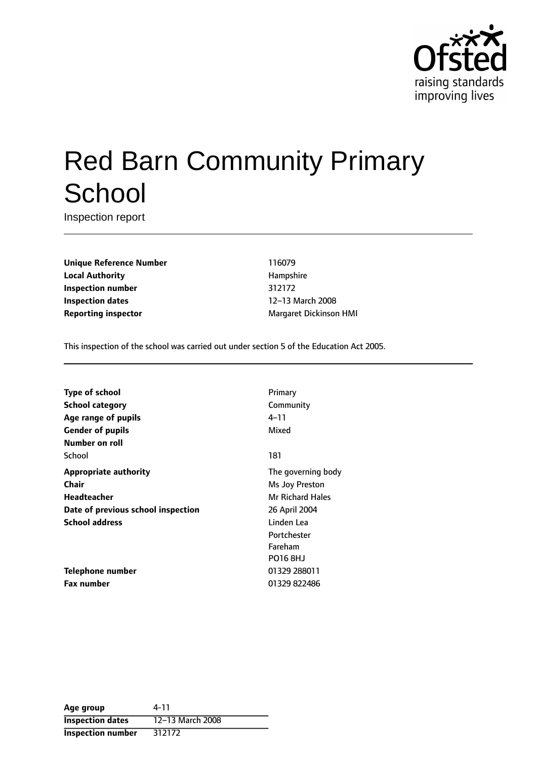

# Red Barn Community Primary **School**

Inspection report

**Unique Reference Number** 116079 **Local Authority Hampshire Inspection number** 312172 **Inspection dates** 12-13 March 2008 **Reporting inspector** Margaret Dickinson HMI

This inspection of the school was carried out under section 5 of the Education Act 2005.

| <b>Type of school</b>              | Primary                 |
|------------------------------------|-------------------------|
| <b>School category</b>             | Community               |
| Age range of pupils                | 4–11                    |
| <b>Gender of pupils</b>            | Mixed                   |
| Number on roll                     |                         |
| School                             | 181                     |
| <b>Appropriate authority</b>       | The governing body      |
| <b>Chair</b>                       | Ms Joy Preston          |
| Headteacher                        | <b>Mr Richard Hales</b> |
| Date of previous school inspection | 26 April 2004           |
| <b>School address</b>              | Linden Lea              |
|                                    | Portchester             |
|                                    | Fareham                 |
|                                    | <b>PO16 8HJ</b>         |
| Telephone number                   | 01329 288011            |
| <b>Fax number</b>                  | 01329 822486            |

| Age group                | 4-11             |
|--------------------------|------------------|
| <b>Inspection dates</b>  | 12-13 March 2008 |
| <b>Inspection number</b> | 312172           |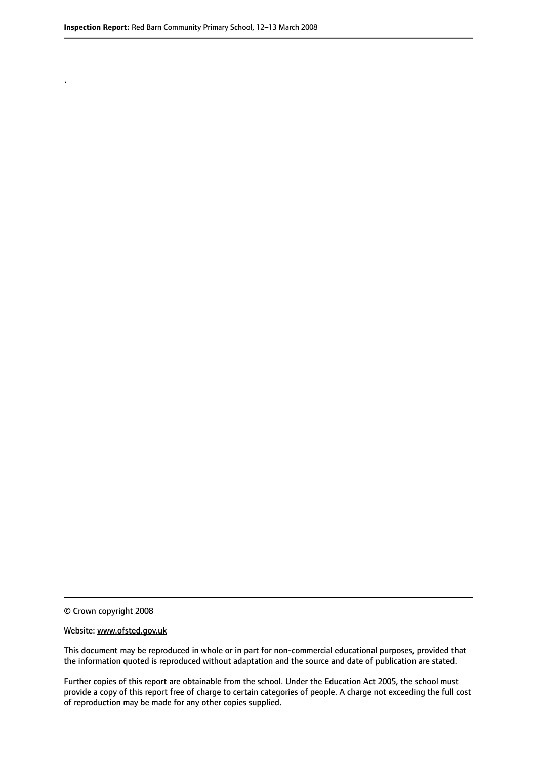.

© Crown copyright 2008

#### Website: www.ofsted.gov.uk

This document may be reproduced in whole or in part for non-commercial educational purposes, provided that the information quoted is reproduced without adaptation and the source and date of publication are stated.

Further copies of this report are obtainable from the school. Under the Education Act 2005, the school must provide a copy of this report free of charge to certain categories of people. A charge not exceeding the full cost of reproduction may be made for any other copies supplied.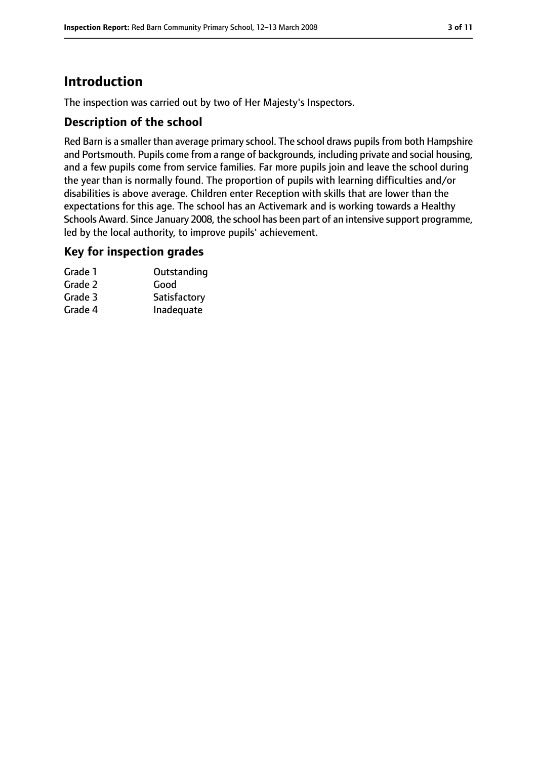# **Introduction**

The inspection was carried out by two of Her Majesty's Inspectors.

## **Description of the school**

Red Barn is a smaller than average primary school. The school draws pupils from both Hampshire and Portsmouth. Pupils come from a range of backgrounds, including private and social housing, and a few pupils come from service families. Far more pupils join and leave the school during the year than is normally found. The proportion of pupils with learning difficulties and/or disabilities is above average. Children enter Reception with skills that are lower than the expectations for this age. The school has an Activemark and is working towards a Healthy Schools Award. Since January 2008, the school has been part of an intensive support programme, led by the local authority, to improve pupils' achievement.

## **Key for inspection grades**

| Grade 1 | Outstanding  |
|---------|--------------|
| Grade 2 | Good         |
| Grade 3 | Satisfactory |
| Grade 4 | Inadequate   |
|         |              |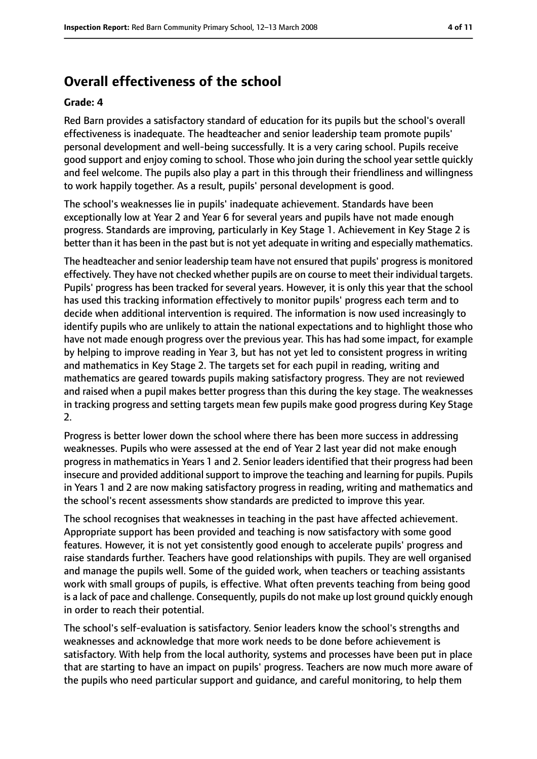# **Overall effectiveness of the school**

#### **Grade: 4**

Red Barn provides a satisfactory standard of education for its pupils but the school's overall effectiveness is inadequate. The headteacher and senior leadership team promote pupils' personal development and well-being successfully. It is a very caring school. Pupils receive good support and enjoy coming to school. Those who join during the school year settle quickly and feel welcome. The pupils also play a part in this through their friendliness and willingness to work happily together. As a result, pupils' personal development is good.

The school's weaknesses lie in pupils' inadequate achievement. Standards have been exceptionally low at Year 2 and Year 6 for several years and pupils have not made enough progress. Standards are improving, particularly in Key Stage 1. Achievement in Key Stage 2 is better than it has been in the past but is not yet adequate in writing and especially mathematics.

The headteacher and senior leadership team have not ensured that pupils' progressis monitored effectively. They have not checked whether pupils are on course to meet their individual targets. Pupils' progress has been tracked for several years. However, it is only this year that the school has used this tracking information effectively to monitor pupils' progress each term and to decide when additional intervention is required. The information is now used increasingly to identify pupils who are unlikely to attain the national expectations and to highlight those who have not made enough progress over the previous year. This has had some impact, for example by helping to improve reading in Year 3, but has not yet led to consistent progress in writing and mathematics in Key Stage 2. The targets set for each pupil in reading, writing and mathematics are geared towards pupils making satisfactory progress. They are not reviewed and raised when a pupil makes better progress than this during the key stage. The weaknesses in tracking progress and setting targets mean few pupils make good progress during Key Stage 2.

Progress is better lower down the school where there has been more success in addressing weaknesses. Pupils who were assessed at the end of Year 2 last year did not make enough progress in mathematics in Years 1 and 2. Senior leaders identified that their progress had been insecure and provided additional support to improve the teaching and learning for pupils. Pupils in Years 1 and 2 are now making satisfactory progress in reading, writing and mathematics and the school's recent assessments show standards are predicted to improve this year.

The school recognises that weaknesses in teaching in the past have affected achievement. Appropriate support has been provided and teaching is now satisfactory with some good features. However, it is not yet consistently good enough to accelerate pupils' progress and raise standards further. Teachers have good relationships with pupils. They are well organised and manage the pupils well. Some of the guided work, when teachers or teaching assistants work with small groups of pupils, is effective. What often prevents teaching from being good is a lack of pace and challenge. Consequently, pupils do not make up lost ground quickly enough in order to reach their potential.

The school's self-evaluation is satisfactory. Senior leaders know the school's strengths and weaknesses and acknowledge that more work needs to be done before achievement is satisfactory. With help from the local authority, systems and processes have been put in place that are starting to have an impact on pupils' progress. Teachers are now much more aware of the pupils who need particular support and guidance, and careful monitoring, to help them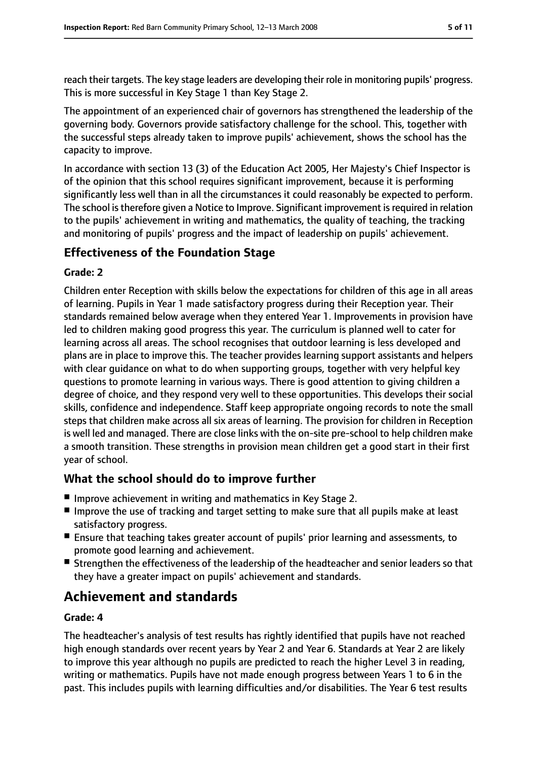reach their targets. The key stage leaders are developing their role in monitoring pupils' progress. This is more successful in Key Stage 1 than Key Stage 2.

The appointment of an experienced chair of governors has strengthened the leadership of the governing body. Governors provide satisfactory challenge for the school. This, together with the successful steps already taken to improve pupils' achievement, shows the school has the capacity to improve.

In accordance with section 13 (3) of the Education Act 2005, Her Majesty's Chief Inspector is of the opinion that this school requires significant improvement, because it is performing significantly less well than in all the circumstances it could reasonably be expected to perform. The school is therefore given a Notice to Improve. Significant improvement is required in relation to the pupils' achievement in writing and mathematics, the quality of teaching, the tracking and monitoring of pupils' progress and the impact of leadership on pupils' achievement.

# **Effectiveness of the Foundation Stage**

#### **Grade: 2**

Children enter Reception with skills below the expectations for children of this age in all areas of learning. Pupils in Year 1 made satisfactory progress during their Reception year. Their standards remained below average when they entered Year 1. Improvements in provision have led to children making good progress this year. The curriculum is planned well to cater for learning across all areas. The school recognises that outdoor learning is less developed and plans are in place to improve this. The teacher provides learning support assistants and helpers with clear guidance on what to do when supporting groups, together with very helpful key questions to promote learning in various ways. There is good attention to giving children a degree of choice, and they respond very well to these opportunities. This develops their social skills, confidence and independence. Staff keep appropriate ongoing records to note the small steps that children make across all six areas of learning. The provision for children in Reception is well led and managed. There are close links with the on-site pre-school to help children make a smooth transition. These strengths in provision mean children get a good start in their first year of school.

## **What the school should do to improve further**

- Improve achievement in writing and mathematics in Key Stage 2.
- Improve the use of tracking and target setting to make sure that all pupils make at least satisfactory progress.
- Ensure that teaching takes greater account of pupils' prior learning and assessments, to promote good learning and achievement.
- Strengthen the effectiveness of the leadership of the headteacher and senior leaders so that they have a greater impact on pupils' achievement and standards.

# **Achievement and standards**

#### **Grade: 4**

The headteacher's analysis of test results has rightly identified that pupils have not reached high enough standards over recent years by Year 2 and Year 6. Standards at Year 2 are likely to improve this year although no pupils are predicted to reach the higher Level 3 in reading, writing or mathematics. Pupils have not made enough progress between Years 1 to 6 in the past. This includes pupils with learning difficulties and/or disabilities. The Year 6 test results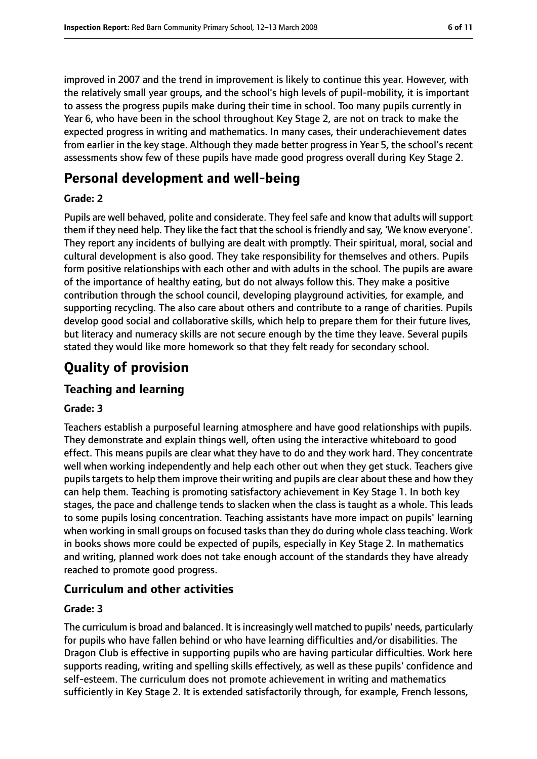improved in 2007 and the trend in improvement is likely to continue this year. However, with the relatively small year groups, and the school's high levels of pupil-mobility, it is important to assess the progress pupils make during their time in school. Too many pupils currently in Year 6, who have been in the school throughout Key Stage 2, are not on track to make the expected progress in writing and mathematics. In many cases, their underachievement dates from earlier in the key stage. Although they made better progress in Year 5, the school's recent assessments show few of these pupils have made good progress overall during Key Stage 2.

# **Personal development and well-being**

#### **Grade: 2**

Pupils are well behaved, polite and considerate. They feel safe and know that adults will support them if they need help. They like the fact that the school isfriendly and say, 'We know everyone'. They report any incidents of bullying are dealt with promptly. Their spiritual, moral, social and cultural development is also good. They take responsibility for themselves and others. Pupils form positive relationships with each other and with adults in the school. The pupils are aware of the importance of healthy eating, but do not always follow this. They make a positive contribution through the school council, developing playground activities, for example, and supporting recycling. The also care about others and contribute to a range of charities. Pupils develop good social and collaborative skills, which help to prepare them for their future lives, but literacy and numeracy skills are not secure enough by the time they leave. Several pupils stated they would like more homework so that they felt ready for secondary school.

# **Quality of provision**

# **Teaching and learning**

## **Grade: 3**

Teachers establish a purposeful learning atmosphere and have good relationships with pupils. They demonstrate and explain things well, often using the interactive whiteboard to good effect. This means pupils are clear what they have to do and they work hard. They concentrate well when working independently and help each other out when they get stuck. Teachers give pupils targets to help them improve their writing and pupils are clear about these and how they can help them. Teaching is promoting satisfactory achievement in Key Stage 1. In both key stages, the pace and challenge tends to slacken when the class is taught as a whole. This leads to some pupils losing concentration. Teaching assistants have more impact on pupils' learning when working in small groups on focused tasks than they do during whole class teaching. Work in books shows more could be expected of pupils, especially in Key Stage 2. In mathematics and writing, planned work does not take enough account of the standards they have already reached to promote good progress.

# **Curriculum and other activities**

#### **Grade: 3**

The curriculum is broad and balanced. It is increasingly well matched to pupils' needs, particularly for pupils who have fallen behind or who have learning difficulties and/or disabilities. The Dragon Club is effective in supporting pupils who are having particular difficulties. Work here supports reading, writing and spelling skills effectively, as well as these pupils' confidence and self-esteem. The curriculum does not promote achievement in writing and mathematics sufficiently in Key Stage 2. It is extended satisfactorily through, for example, French lessons,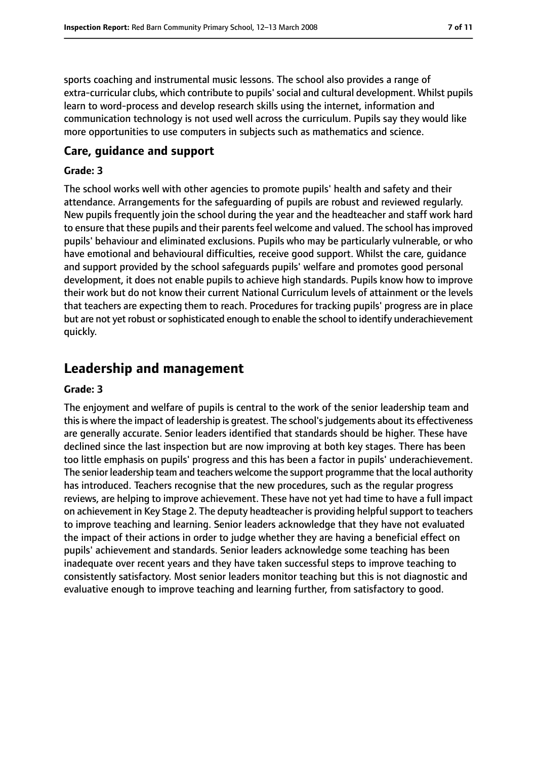sports coaching and instrumental music lessons. The school also provides a range of extra-curricular clubs, which contribute to pupils' social and cultural development. Whilst pupils learn to word-process and develop research skills using the internet, information and communication technology is not used well across the curriculum. Pupils say they would like more opportunities to use computers in subjects such as mathematics and science.

#### **Care, guidance and support**

#### **Grade: 3**

The school works well with other agencies to promote pupils' health and safety and their attendance. Arrangements for the safeguarding of pupils are robust and reviewed regularly. New pupils frequently join the school during the year and the headteacher and staff work hard to ensure that these pupils and their parents feel welcome and valued. The school has improved pupils' behaviour and eliminated exclusions. Pupils who may be particularly vulnerable, or who have emotional and behavioural difficulties, receive good support. Whilst the care, guidance and support provided by the school safeguards pupils' welfare and promotes good personal development, it does not enable pupils to achieve high standards. Pupils know how to improve their work but do not know their current National Curriculum levels of attainment or the levels that teachers are expecting them to reach. Procedures for tracking pupils' progress are in place but are not yet robust orsophisticated enough to enable the school to identify underachievement quickly.

# **Leadership and management**

#### **Grade: 3**

The enjoyment and welfare of pupils is central to the work of the senior leadership team and thisis where the impact of leadership is greatest. The school'sjudgements about its effectiveness are generally accurate. Senior leaders identified that standards should be higher. These have declined since the last inspection but are now improving at both key stages. There has been too little emphasis on pupils' progress and this has been a factor in pupils' underachievement. The senior leadership team and teachers welcome the support programme that the local authority has introduced. Teachers recognise that the new procedures, such as the regular progress reviews, are helping to improve achievement. These have not yet had time to have a full impact on achievement in Key Stage 2. The deputy headteacher is providing helpful support to teachers to improve teaching and learning. Senior leaders acknowledge that they have not evaluated the impact of their actions in order to judge whether they are having a beneficial effect on pupils' achievement and standards. Senior leaders acknowledge some teaching has been inadequate over recent years and they have taken successful steps to improve teaching to consistently satisfactory. Most senior leaders monitor teaching but this is not diagnostic and evaluative enough to improve teaching and learning further, from satisfactory to good.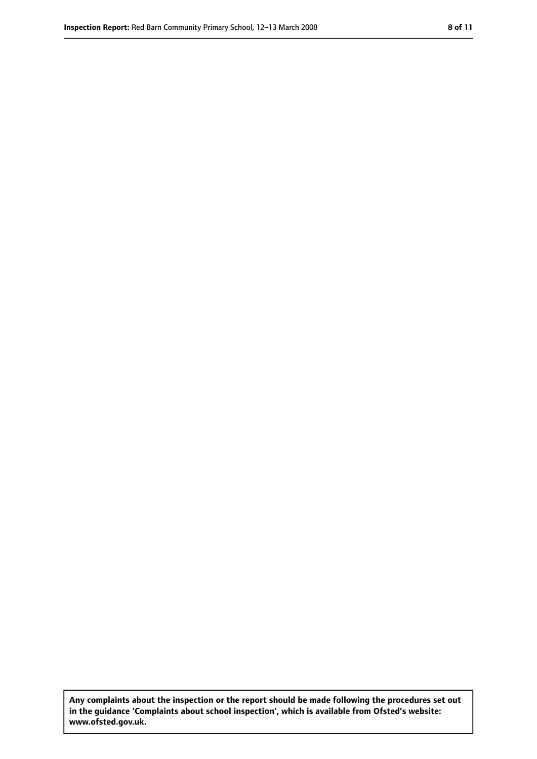**Any complaints about the inspection or the report should be made following the procedures set out in the guidance 'Complaints about school inspection', which is available from Ofsted's website: www.ofsted.gov.uk.**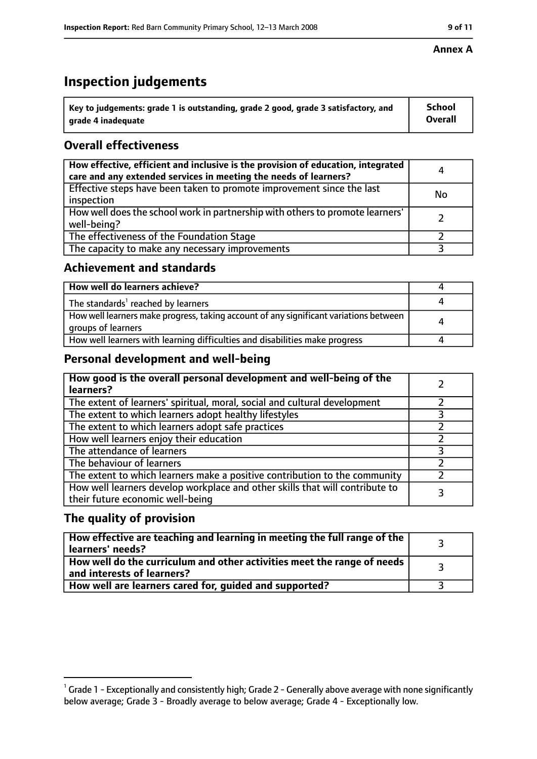# **Inspection judgements**

| $^{\backprime}$ Key to judgements: grade 1 is outstanding, grade 2 good, grade 3 satisfactory, and | School         |
|----------------------------------------------------------------------------------------------------|----------------|
| arade 4 inadequate                                                                                 | <b>Overall</b> |

# **Overall effectiveness**

| How effective, efficient and inclusive is the provision of education, integrated<br>care and any extended services in meeting the needs of learners? | 4         |
|------------------------------------------------------------------------------------------------------------------------------------------------------|-----------|
| Effective steps have been taken to promote improvement since the last<br>inspection                                                                  | <b>No</b> |
| How well does the school work in partnership with others to promote learners'<br>well-being?                                                         |           |
| The effectiveness of the Foundation Stage                                                                                                            |           |
| The capacity to make any necessary improvements                                                                                                      |           |

## **Achievement and standards**

| How well do learners achieve?                                                                               |  |
|-------------------------------------------------------------------------------------------------------------|--|
| The standards <sup>1</sup> reached by learners                                                              |  |
| How well learners make progress, taking account of any significant variations between<br>groups of learners |  |
| How well learners with learning difficulties and disabilities make progress                                 |  |

# **Personal development and well-being**

| How good is the overall personal development and well-being of the<br>learners?                                  |  |
|------------------------------------------------------------------------------------------------------------------|--|
| The extent of learners' spiritual, moral, social and cultural development                                        |  |
| The extent to which learners adopt healthy lifestyles                                                            |  |
| The extent to which learners adopt safe practices                                                                |  |
| How well learners enjoy their education                                                                          |  |
| The attendance of learners                                                                                       |  |
| The behaviour of learners                                                                                        |  |
| The extent to which learners make a positive contribution to the community                                       |  |
| How well learners develop workplace and other skills that will contribute to<br>their future economic well-being |  |

## **The quality of provision**

| How effective are teaching and learning in meeting the full range of the<br>learners' needs?          |  |
|-------------------------------------------------------------------------------------------------------|--|
| How well do the curriculum and other activities meet the range of needs<br>and interests of learners? |  |
| How well are learners cared for, guided and supported?                                                |  |

 $^1$  Grade 1 - Exceptionally and consistently high; Grade 2 - Generally above average with none significantly below average; Grade 3 - Broadly average to below average; Grade 4 - Exceptionally low.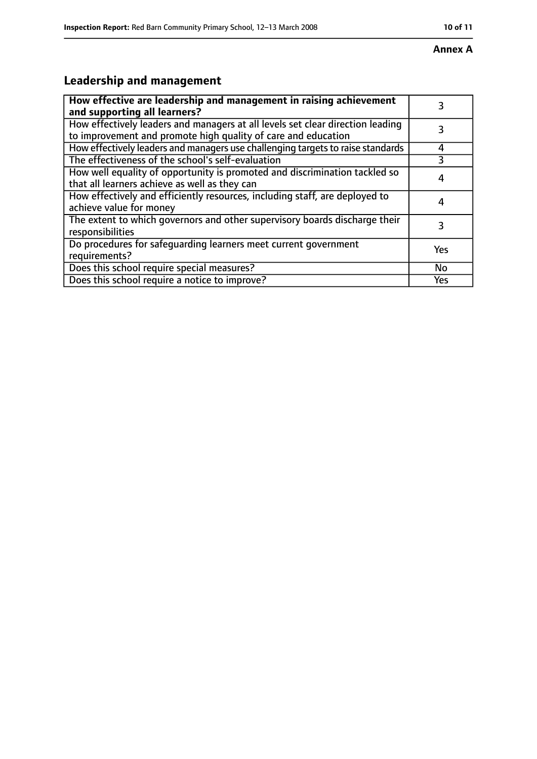#### **Annex A**

# **Leadership and management**

| How effective are leadership and management in raising achievement<br>and supporting all learners?                                              | 3         |
|-------------------------------------------------------------------------------------------------------------------------------------------------|-----------|
| How effectively leaders and managers at all levels set clear direction leading<br>to improvement and promote high quality of care and education |           |
| How effectively leaders and managers use challenging targets to raise standards                                                                 | 4         |
| The effectiveness of the school's self-evaluation                                                                                               |           |
| How well equality of opportunity is promoted and discrimination tackled so<br>that all learners achieve as well as they can                     |           |
| How effectively and efficiently resources, including staff, are deployed to<br>achieve value for money                                          | 4         |
| The extent to which governors and other supervisory boards discharge their<br>responsibilities                                                  | 3         |
| Do procedures for safequarding learners meet current government<br>requirements?                                                                | Yes       |
| Does this school require special measures?                                                                                                      | <b>No</b> |
| Does this school require a notice to improve?                                                                                                   | Yes       |